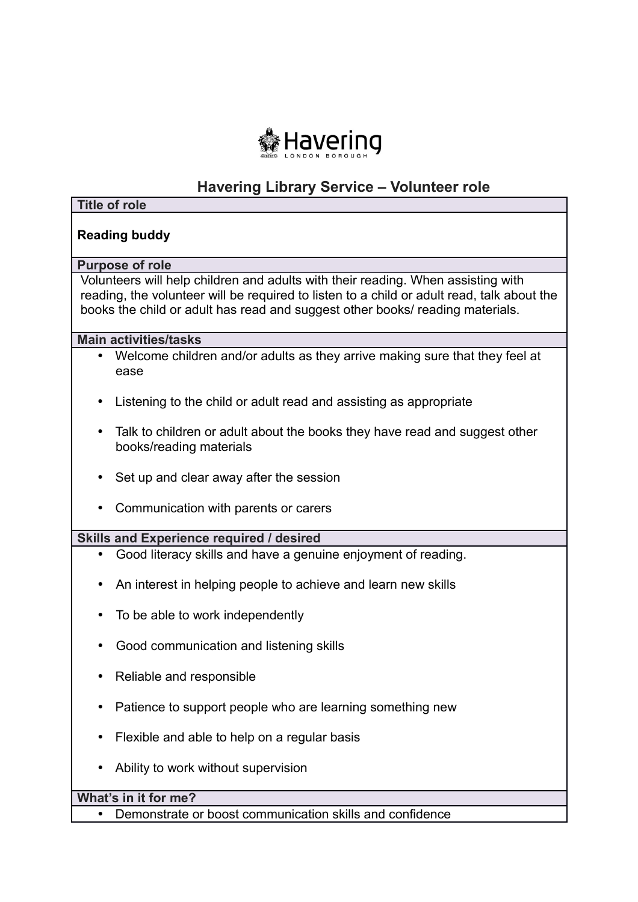

# **Havering Library Service – Volunteer role**

| <b>Title of role</b>                                                                                                                                                                                                                                            |
|-----------------------------------------------------------------------------------------------------------------------------------------------------------------------------------------------------------------------------------------------------------------|
| <b>Reading buddy</b>                                                                                                                                                                                                                                            |
| <b>Purpose of role</b>                                                                                                                                                                                                                                          |
| Volunteers will help children and adults with their reading. When assisting with<br>reading, the volunteer will be required to listen to a child or adult read, talk about the<br>books the child or adult has read and suggest other books/ reading materials. |
| <b>Main activities/tasks</b>                                                                                                                                                                                                                                    |
| Welcome children and/or adults as they arrive making sure that they feel at<br>$\bullet$<br>ease                                                                                                                                                                |
| Listening to the child or adult read and assisting as appropriate<br>$\bullet$                                                                                                                                                                                  |
| Talk to children or adult about the books they have read and suggest other<br>$\bullet$<br>books/reading materials                                                                                                                                              |
| Set up and clear away after the session                                                                                                                                                                                                                         |
| Communication with parents or carers                                                                                                                                                                                                                            |
| <b>Skills and Experience required / desired</b>                                                                                                                                                                                                                 |
| Good literacy skills and have a genuine enjoyment of reading.<br>$\bullet$                                                                                                                                                                                      |
| An interest in helping people to achieve and learn new skills<br>$\bullet$                                                                                                                                                                                      |
| To be able to work independently                                                                                                                                                                                                                                |
| Good communication and listening skills                                                                                                                                                                                                                         |
| Reliable and responsible                                                                                                                                                                                                                                        |
| Patience to support people who are learning something new                                                                                                                                                                                                       |
| Flexible and able to help on a regular basis                                                                                                                                                                                                                    |
| Ability to work without supervision                                                                                                                                                                                                                             |
| What's in it for me?                                                                                                                                                                                                                                            |
| Demonstrate or boost communication skills and confidence                                                                                                                                                                                                        |